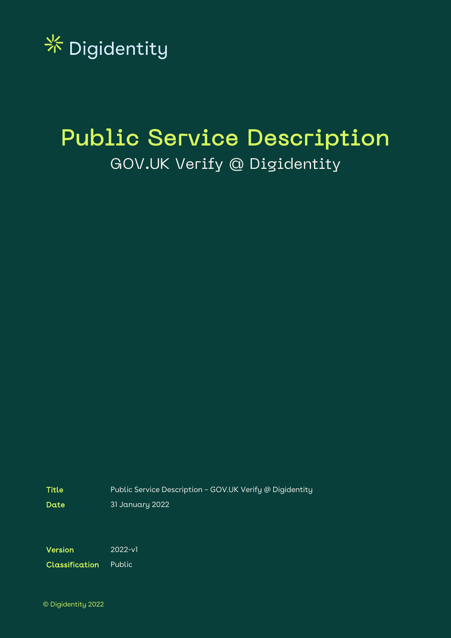

## Public Service Description GOV.UK Verify @ Digidentity

Title **Public Service Description - GOV.UK Verify @ Digidentity** 

Date 31 January 2022

Version 2022-v1

Classification Public

© Digidentity 2022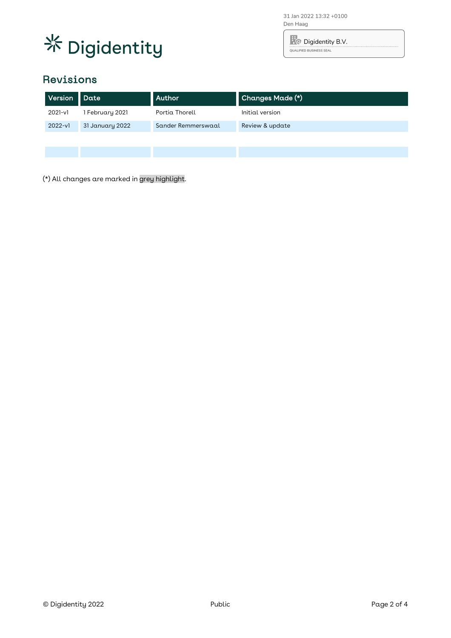

31 Jan 2022 13:32 +0100 Den Haag

**R** Digidentity B.V. QUALIFIED BUSINESS SEAL

## Revisions

| Version   | Date            | Author             | Changes Made (*) |
|-----------|-----------------|--------------------|------------------|
| 2021-v1   | February 2021   | Portia Thorell     | Initial version  |
| $2022-v1$ | 31 January 2022 | Sander Remmerswaal | Review & update  |
|           |                 |                    |                  |
|           |                 |                    |                  |

(\*) All changes are marked in grey highlight.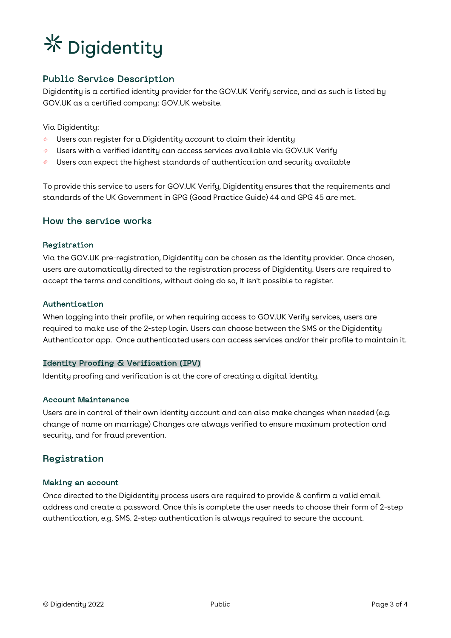# **※ Digidentity**

### Public Service Description

Digidentity is a certified identity provider for the GOV.UK Verify service, and as such is listed by GOV.UK as a certified company: GOV.UK website.

Via Digidentity:

- $*$  Users can register for a Digidentity account to claim their identity
- $*$  Users with a verified identity can access services available via GOV.UK Verify
- Users can expect the highest standards of authentication and security available

To provide this service to users for GOV.UK Verify, Digidentity ensures that the requirements and standards of the UK Government in GPG (Good Practice Guide) 44 and GPG 45 are met.

#### How the service works

#### Registration

Via the GOV.UK pre-registration, Digidentity can be chosen as the identity provider. Once chosen, users are automatically directed to the registration process of Digidentity. Users are required to accept the terms and conditions, without doing do so, it isn't possible to register.

#### Authentication

When logging into their profile, or when requiring access to GOV.UK Verify services, users are required to make use of the 2-step login. Users can choose between the SMS or the Digidentity Authenticator app. Once authenticated users can access services and/or their profile to maintain it.

#### Identity Proofing & Verification (IPV)

Identity proofing and verification is at the core of creating a digital identity.

#### Account Maintenance

Users are in control of their own identity account and can also make changes when needed (e.g. change of name on marriage) Changes are always verified to ensure maximum protection and security, and for fraud prevention.

#### Registration

#### Making an account

Once directed to the Digidentity process users are required to provide & confirm a valid email address and create a password. Once this is complete the user needs to choose their form of 2-step authentication, e.g. SMS. 2-step authentication is always required to secure the account.